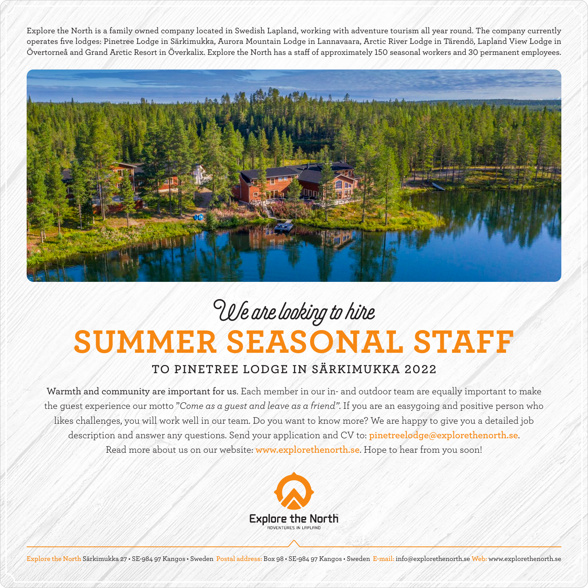Explore the North is a family owned company located in Swedish Lapland, working with adventure tourism all year round. The company currently operates five lodges: Pinetree Lodge in Särkimukka, Aurora Mountain Lodge in Lannavaara, Arctic River Lodge in Tärendö, Lapland View Lodge in Övertorneå and Grand Arctic Resort in Överkalix. Explore the North has a staff of approximately 150 seasonal workers and 30 permanent employees.



## **SUMMER SEASONAL STAFF** We are looking to hire

## **TO PINETREE LODGE IN SÄRKIMUKKA 2022**

Warmth and community are important for us. Each member in our in- and outdoor team are equally important to make the guest experience our motto "*Come as a guest and leave as a friend"*. If you are an easygoing and positive person who likes challenges, you will work well in our team. Do you want to know more? We are happy to give you a detailed job description and answer any questions. Send your application and CV to: **pinetreelodge@explorethenorth.se**. Read more about us on our website: **www.explorethenorth.se**. Hope to hear from you soon!